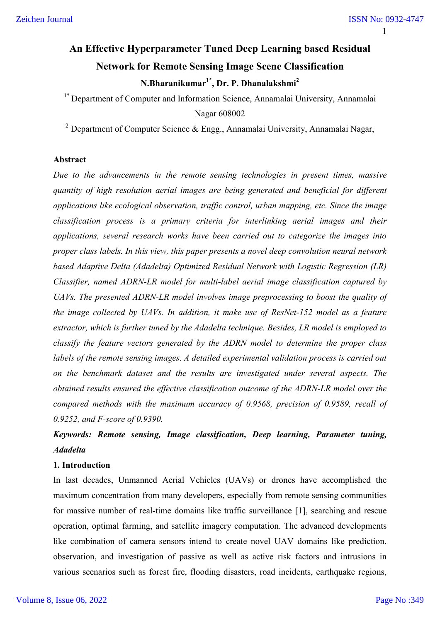# **An Effective Hyperparameter Tuned Deep Learning based Residual Network for Remote Sensing Image Scene Classification N.Bharanikumar1\*, Dr. P. Dhanalakshmi2**

<sup>1\*</sup> Department of Computer and Information Science, Annamalai University, Annamalai Nagar 608002

<sup>2</sup> Department of Computer Science & Engg., Annamalai University, Annamalai Nagar,

#### **Abstract**

*Due to the advancements in the remote sensing technologies in present times, massive quantity of high resolution aerial images are being generated and beneficial for different applications like ecological observation, traffic control, urban mapping, etc. Since the image classification process is a primary criteria for interlinking aerial images and their applications, several research works have been carried out to categorize the images into proper class labels. In this view, this paper presents a novel deep convolution neural network based Adaptive Delta (Adadelta) Optimized Residual Network with Logistic Regression (LR) Classifier, named ADRN-LR model for multi-label aerial image classification captured by UAVs. The presented ADRN-LR model involves image preprocessing to boost the quality of the image collected by UAVs. In addition, it make use of ResNet-152 model as a feature extractor, which is further tuned by the Adadelta technique. Besides, LR model is employed to classify the feature vectors generated by the ADRN model to determine the proper class labels of the remote sensing images. A detailed experimental validation process is carried out on the benchmark dataset and the results are investigated under several aspects. The obtained results ensured the effective classification outcome of the ADRN-LR model over the compared methods with the maximum accuracy of 0.9568, precision of 0.9589, recall of 0.9252, and F-score of 0.9390.* 

# *Keywords: Remote sensing, Image classification, Deep learning, Parameter tuning, Adadelta*

# **1. Introduction**

In last decades, Unmanned Aerial Vehicles (UAVs) or drones have accomplished the maximum concentration from many developers, especially from remote sensing communities for massive number of real-time domains like traffic surveillance [1], searching and rescue operation, optimal farming, and satellite imagery computation. The advanced developments like combination of camera sensors intend to create novel UAV domains like prediction, observation, and investigation of passive as well as active risk factors and intrusions in various scenarios such as forest fire, flooding disasters, road incidents, earthquake regions,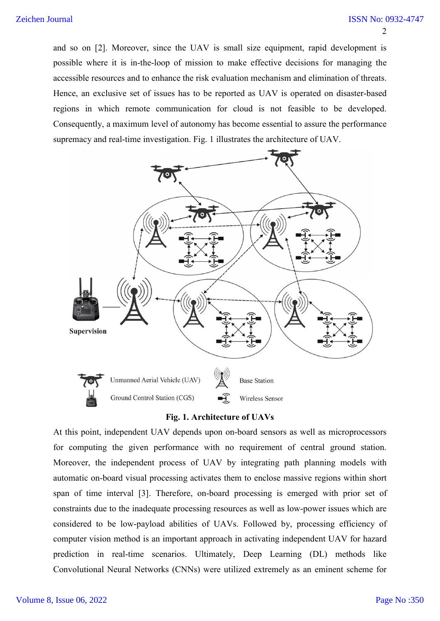and so on [2]. Moreover, since the UAV is small size equipment, rapid development is possible where it is in-the-loop of mission to make effective decisions for managing the accessible resources and to enhance the risk evaluation mechanism and elimination of threats. Hence, an exclusive set of issues has to be reported as UAV is operated on disaster-based regions in which remote communication for cloud is not feasible to be developed. Consequently, a maximum level of autonomy has become essential to assure the performance supremacy and real-time investigation. Fig. 1 illustrates the architecture of UAV.



**Fig. 1. Architecture of UAVs**

At this point, independent UAV depends upon on-board sensors as well as microprocessors for computing the given performance with no requirement of central ground station. Moreover, the independent process of UAV by integrating path planning models with automatic on-board visual processing activates them to enclose massive regions within short span of time interval [3]. Therefore, on-board processing is emerged with prior set of constraints due to the inadequate processing resources as well as low-power issues which are considered to be low-payload abilities of UAVs. Followed by, processing efficiency of computer vision method is an important approach in activating independent UAV for hazard prediction in real-time scenarios. Ultimately, Deep Learning (DL) methods like Convolutional Neural Networks (CNNs) were utilized extremely as an eminent scheme for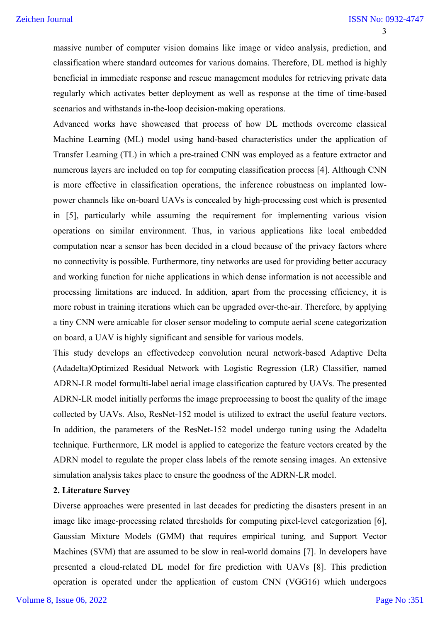massive number of computer vision domains like image or video analysis, prediction, and classification where standard outcomes for various domains. Therefore, DL method is highly beneficial in immediate response and rescue management modules for retrieving private data regularly which activates better deployment as well as response at the time of time-based scenarios and withstands in-the-loop decision-making operations.

Advanced works have showcased that process of how DL methods overcome classical Machine Learning (ML) model using hand-based characteristics under the application of Transfer Learning (TL) in which a pre-trained CNN was employed as a feature extractor and numerous layers are included on top for computing classification process [4]. Although CNN is more effective in classification operations, the inference robustness on implanted lowpower channels like on-board UAVs is concealed by high-processing cost which is presented in [5], particularly while assuming the requirement for implementing various vision operations on similar environment. Thus, in various applications like local embedded computation near a sensor has been decided in a cloud because of the privacy factors where no connectivity is possible. Furthermore, tiny networks are used for providing better accuracy and working function for niche applications in which dense information is not accessible and processing limitations are induced. In addition, apart from the processing efficiency, it is more robust in training iterations which can be upgraded over-the-air. Therefore, by applying a tiny CNN were amicable for closer sensor modeling to compute aerial scene categorization on board, a UAV is highly significant and sensible for various models.

This study develops an effectivedeep convolution neural network-based Adaptive Delta (Adadelta)Optimized Residual Network with Logistic Regression (LR) Classifier, named ADRN-LR model formulti-label aerial image classification captured by UAVs. The presented ADRN-LR model initially performs the image preprocessing to boost the quality of the image collected by UAVs. Also, ResNet-152 model is utilized to extract the useful feature vectors. In addition, the parameters of the ResNet-152 model undergo tuning using the Adadelta technique. Furthermore, LR model is applied to categorize the feature vectors created by the ADRN model to regulate the proper class labels of the remote sensing images. An extensive simulation analysis takes place to ensure the goodness of the ADRN-LR model.

#### **2. Literature Survey**

Diverse approaches were presented in last decades for predicting the disasters present in an image like image-processing related thresholds for computing pixel-level categorization [6], Gaussian Mixture Models (GMM) that requires empirical tuning, and Support Vector Machines (SVM) that are assumed to be slow in real-world domains [7]. In developers have presented a cloud-related DL model for fire prediction with UAVs [8]. This prediction operation is operated under the application of custom CNN (VGG16) which undergoes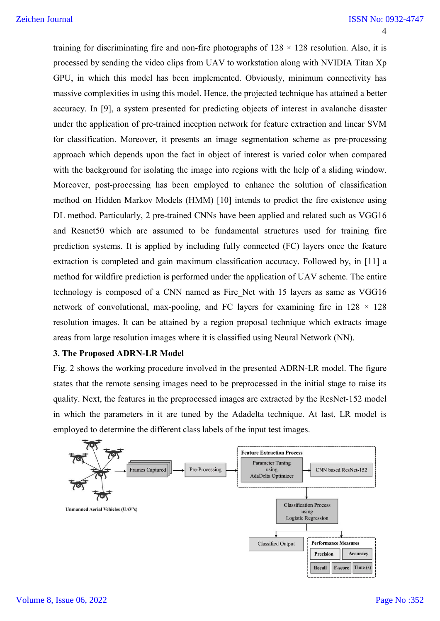training for discriminating fire and non-fire photographs of  $128 \times 128$  resolution. Also, it is processed by sending the video clips from UAV to workstation along with NVIDIA Titan Xp GPU, in which this model has been implemented. Obviously, minimum connectivity has massive complexities in using this model. Hence, the projected technique has attained a better accuracy. In [9], a system presented for predicting objects of interest in avalanche disaster under the application of pre-trained inception network for feature extraction and linear SVM for classification. Moreover, it presents an image segmentation scheme as pre-processing approach which depends upon the fact in object of interest is varied color when compared with the background for isolating the image into regions with the help of a sliding window. Moreover, post-processing has been employed to enhance the solution of classification method on Hidden Markov Models (HMM) [10] intends to predict the fire existence using DL method. Particularly, 2 pre-trained CNNs have been applied and related such as VGG16 and Resnet50 which are assumed to be fundamental structures used for training fire prediction systems. It is applied by including fully connected (FC) layers once the feature extraction is completed and gain maximum classification accuracy. Followed by, in [11] a method for wildfire prediction is performed under the application of UAV scheme. The entire technology is composed of a CNN named as Fire\_Net with 15 layers as same as VGG16 network of convolutional, max-pooling, and FC layers for examining fire in  $128 \times 128$ resolution images. It can be attained by a region proposal technique which extracts image areas from large resolution images where it is classified using Neural Network (NN).

#### **3. The Proposed ADRN-LR Model**

Fig. 2 shows the working procedure involved in the presented ADRN-LR model. The figure states that the remote sensing images need to be preprocessed in the initial stage to raise its quality. Next, the features in the preprocessed images are extracted by the ResNet-152 model in which the parameters in it are tuned by the Adadelta technique. At last, LR model is employed to determine the different class labels of the input test images.

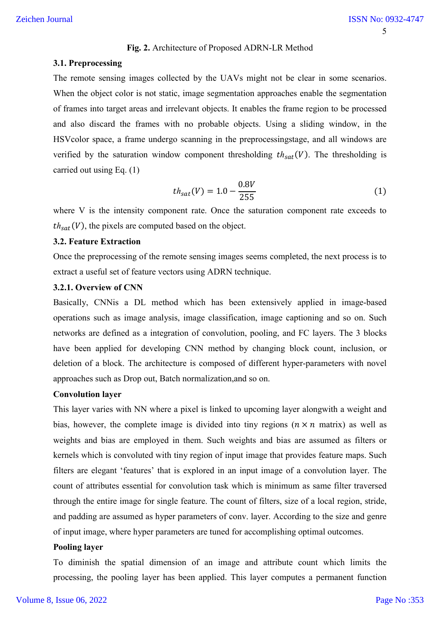#### **Fig. 2.** Architecture of Proposed ADRN-LR Method

#### **3.1. Preprocessing**

The remote sensing images collected by the UAVs might not be clear in some scenarios. When the object color is not static, image segmentation approaches enable the segmentation of frames into target areas and irrelevant objects. It enables the frame region to be processed and also discard the frames with no probable objects. Using a sliding window, in the HSVcolor space, a frame undergo scanning in the preprocessingstage, and all windows are verified by the saturation window component thresholding  $th_{sat}(V)$ . The thresholding is carried out using Eq. (1)

$$
th_{sat}(V) = 1.0 - \frac{0.8V}{255}
$$
 (1)

where V is the intensity component rate. Once the saturation component rate exceeds to  $th_{sat}(V)$ , the pixels are computed based on the object.

#### **3.2. Feature Extraction**

Once the preprocessing of the remote sensing images seems completed, the next process is to extract a useful set of feature vectors using ADRN technique.

# **3.2.1. Overview of CNN**

Basically, CNNis a DL method which has been extensively applied in image-based operations such as image analysis, image classification, image captioning and so on. Such networks are defined as a integration of convolution, pooling, and FC layers. The 3 blocks have been applied for developing CNN method by changing block count, inclusion, or deletion of a block. The architecture is composed of different hyper-parameters with novel approaches such as Drop out, Batch normalization,and so on.

#### **Convolution layer**

This layer varies with NN where a pixel is linked to upcoming layer alongwith a weight and bias, however, the complete image is divided into tiny regions  $(n \times n$  matrix) as well as weights and bias are employed in them. Such weights and bias are assumed as filters or kernels which is convoluted with tiny region of input image that provides feature maps. Such filters are elegant 'features' that is explored in an input image of a convolution layer. The count of attributes essential for convolution task which is minimum as same filter traversed through the entire image for single feature. The count of filters, size of a local region, stride, and padding are assumed as hyper parameters of conv. layer. According to the size and genre of input image, where hyper parameters are tuned for accomplishing optimal outcomes.

#### **Pooling layer**

To diminish the spatial dimension of an image and attribute count which limits the processing, the pooling layer has been applied. This layer computes a permanent function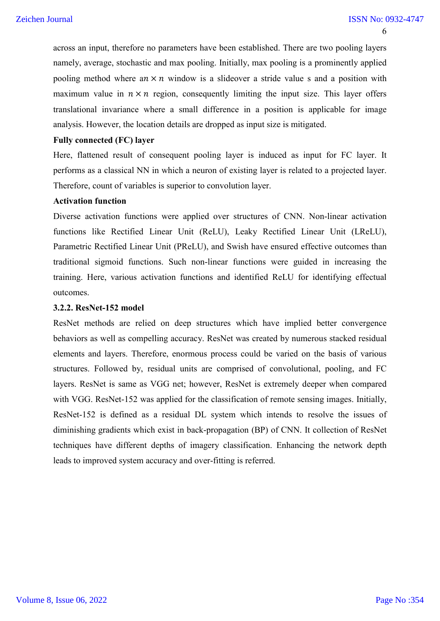6

across an input, therefore no parameters have been established. There are two pooling layers namely, average, stochastic and max pooling. Initially, max pooling is a prominently applied pooling method where an  $\times n$  window is a slideover a stride value s and a position with maximum value in  $n \times n$  region, consequently limiting the input size. This layer offers translational invariance where a small difference in a position is applicable for image analysis. However, the location details are dropped as input size is mitigated.

#### **Fully connected (FC) layer**

Here, flattened result of consequent pooling layer is induced as input for FC layer. It performs as a classical NN in which a neuron of existing layer is related to a projected layer. Therefore, count of variables is superior to convolution layer.

#### **Activation function**

Diverse activation functions were applied over structures of CNN. Non-linear activation functions like Rectified Linear Unit (ReLU), Leaky Rectified Linear Unit (LReLU), Parametric Rectified Linear Unit (PReLU), and Swish have ensured effective outcomes than traditional sigmoid functions. Such non-linear functions were guided in increasing the training. Here, various activation functions and identified ReLU for identifying effectual outcomes.

#### **3.2.2. ResNet-152 model**

ResNet methods are relied on deep structures which have implied better convergence behaviors as well as compelling accuracy. ResNet was created by numerous stacked residual elements and layers. Therefore, enormous process could be varied on the basis of various structures. Followed by, residual units are comprised of convolutional, pooling, and FC layers. ResNet is same as VGG net; however, ResNet is extremely deeper when compared with VGG. ResNet-152 was applied for the classification of remote sensing images. Initially, ResNet-152 is defined as a residual DL system which intends to resolve the issues of diminishing gradients which exist in back-propagation (BP) of CNN. It collection of ResNet techniques have different depths of imagery classification. Enhancing the network depth leads to improved system accuracy and over-fitting is referred.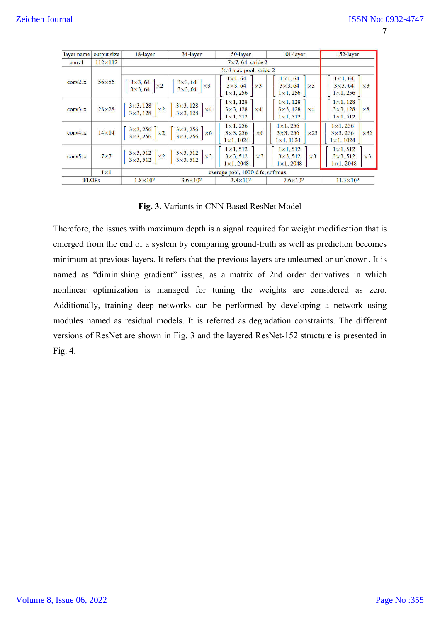| ۰, |  |
|----|--|
|    |  |

|           | layer name   output size | 18-layer            | 34-layer                                                                                                                                                                     | 50-layer                                                                                   | 101-layer                                                                                                                                                                               | 152-layer                                                                 |
|-----------|--------------------------|---------------------|------------------------------------------------------------------------------------------------------------------------------------------------------------------------------|--------------------------------------------------------------------------------------------|-----------------------------------------------------------------------------------------------------------------------------------------------------------------------------------------|---------------------------------------------------------------------------|
| conv1     | $112\times112$           |                     |                                                                                                                                                                              | $7\times7, 64$ , stride 2                                                                  |                                                                                                                                                                                         |                                                                           |
|           |                          |                     |                                                                                                                                                                              | $3\times3$ max pool, stride 2                                                              |                                                                                                                                                                                         |                                                                           |
| $conv2_x$ | $56\times56$             |                     | $\begin{bmatrix} 3 \times 3, 64 \\ 3 \times 3, 64 \end{bmatrix} \times 2 \begin{bmatrix} 3 \times 3, 64 \\ 3 \times 3, 64 \end{bmatrix} \times 3$                            | $1\times1.64$<br>$3\times 3, 64$<br>$\times 3$<br>$1 \times 1, 256$                        | $1 \times 1, 64$<br>$\times 3$<br>$3 \times 3, 64$<br>$1 \times 1, 256$                                                                                                                 | $1\times1, 64$<br>$3\times 3, 64$<br>$\times 3$<br>$1 \times 1, 256$      |
| $conv3_x$ | $28\times28$             |                     | $\left[\begin{array}{c} 3\times3, 128 \\ 3\times3, 128 \end{array}\right] \times 2 \left[\begin{array}{c} 3\times3, 128 \\ 3\times3, 128 \end{array}\right] \times 4\right]$ | $1 \times 1, 128$<br>$3 \times 3$ , 128<br>$\times 4$<br>$1 \times 1, 512$                 | $1 \times 1, 128$<br>$3\times 3, 128$<br>$\times 4$<br>$1 \times 1, 512$                                                                                                                | $1 \times 1, 128$<br>$3\times 3, 128$<br>$\times 8$<br>$1 \times 1, 512$  |
| $conv4_x$ | $14 \times 14$           |                     | $\begin{bmatrix} 3 \times 3, 256 \\ 3 \times 3, 256 \end{bmatrix} \times 2 \begin{bmatrix} 3 \times 3, 256 \\ 3 \times 3, 256 \end{bmatrix} \times 6$                        | $1 \times 1, 256$<br>$3\times 3, 256$<br>$\times 6$<br>$1 \times 1, 1024$                  | $1 \times 1, 256$<br>$3\times3, 256$<br>$\times$ 23<br>$1 \times 1, 1024$                                                                                                               | $1 \times 1, 256$<br>$3\times3, 256$<br>$\times 36$<br>$1 \times 1, 1024$ |
| $conv5_x$ | $7\times7$               |                     | $\left[\begin{array}{c} 3\times3, 512 \\ 3\times3, 512 \end{array}\right] \times 2 \left[\begin{array}{c} 3\times3, 512 \\ 3\times3, 512 \end{array}\right] \times 3\right]$ | $1 \times 1, 512$<br>$3\times 3, 512$<br>$\times 3$<br>$1 \times 1, 2048$                  | $1 \times 1, 512$<br>$3\times 3, 512$<br>$\times 3$<br>$1 \times 1, 2048$                                                                                                               | $1 \times 1, 512$<br>$3\times 3, 512$<br>$\times 3$<br>$1 \times 1, 2048$ |
|           | $1\times1$               |                     |                                                                                                                                                                              | average pool, 1000-d fc, softmax                                                           |                                                                                                                                                                                         |                                                                           |
|           | <b>FLOPs</b>             | $1.8 \times 10^{9}$ | $3.6 \times 10^{9}$                                                                                                                                                          | $3.8\times10^{9}$                                                                          | $7.6\times10^{9}$                                                                                                                                                                       | $11.3 \times 10^{9}$                                                      |
|           |                          |                     |                                                                                                                                                                              | Fig. 3. Variants in CNN Based ResNet Model                                                 | herefore, the issues with maximum depth is a signal required for weight modification that is<br>nerged from the end of a system by comparing ground-truth as well as prediction becomes |                                                                           |
|           |                          |                     |                                                                                                                                                                              |                                                                                            | inimum at previous layers. It refers that the previous layers are unlearned or unknown. It is<br>amed as "diminishing gradient" issues, as a matrix of 2nd order derivatives in which   |                                                                           |
|           |                          |                     |                                                                                                                                                                              |                                                                                            | onlinear optimization is managed for tuning the weights are considered as zero.                                                                                                         |                                                                           |
|           |                          |                     |                                                                                                                                                                              |                                                                                            | dditionally, training deep networks can be performed by developing a network using                                                                                                      |                                                                           |
|           |                          |                     |                                                                                                                                                                              |                                                                                            |                                                                                                                                                                                         |                                                                           |
|           |                          |                     |                                                                                                                                                                              |                                                                                            | odules named as residual models. It is referred as degradation constraints. The different                                                                                               |                                                                           |
|           |                          |                     |                                                                                                                                                                              | ersions of ResNet are shown in Fig. 3 and the layered ResNet-152 structure is presented in |                                                                                                                                                                                         |                                                                           |
|           |                          |                     |                                                                                                                                                                              |                                                                                            |                                                                                                                                                                                         |                                                                           |

**Fig. 3.**  Variants in CNN Based ResNet Model

Therefore, the issues with maximum depth is a signal required for weight modification that is emerged from the end of a system by comparing ground-truth as well as prediction becomes minimum at previous layers. It refers that the previous layers are unlearned or unknown. It is named as "diminishing gradient" issues, as a matrix of 2nd order derivatives in which nonlinear optimization is managed for tuning the weights are considered as zero. Additionally, training deep networks can be performed by developing a network using modules named as residual models. It is referred as degradation constraints. The different versions of ResNet are shown in Fig. 3 and the layered ResNet-152 structure is presented in Fig. 4.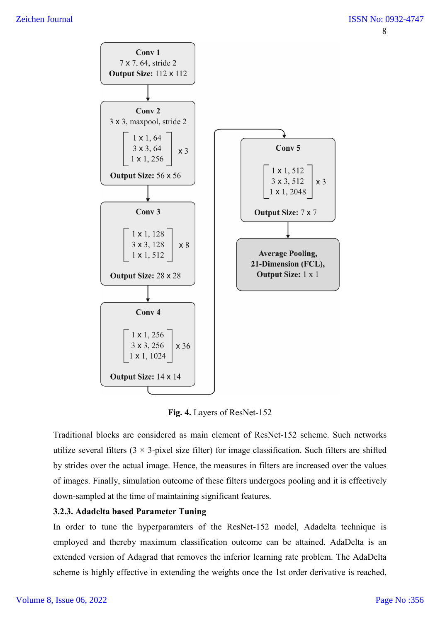# Zeichen Journal



**Fig. 4.** Layers of ResNet-152

Traditional blocks are considered as main element of ResNet-152 scheme. Such networks utilize several filters  $(3 \times 3$ -pixel size filter) for image classification. Such filters are shifted by strides over the actual image. Hence, the measures in filters are increased over the values of images. Finally, simulation outcome of these filters undergoes pooling and it is effectively down-sampled at the time of maintaining significant features.

# **3.2.3. Adadelta based Parameter Tuning**

In order to tune the hyperparamters of the ResNet-152 model, Adadelta technique is employed and thereby maximum classification outcome can be attained. AdaDelta is an extended version of Adagrad that removes the inferior learning rate problem. The AdaDelta scheme is highly effective in extending the weights once the 1st order derivative is reached,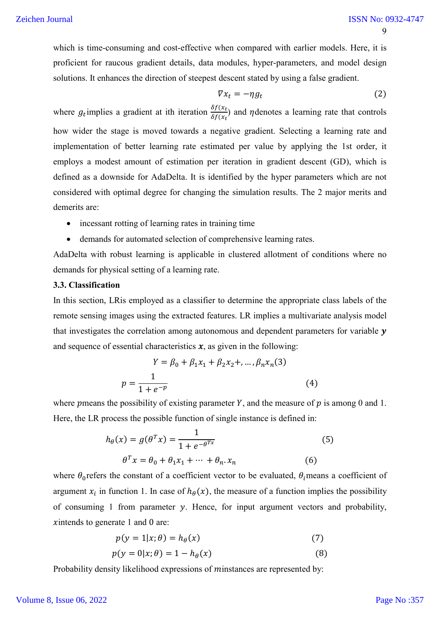which is time-consuming and cost-effective when compared with earlier models. Here, it is proficient for raucous gradient details, data modules, hyper-parameters, and model design solutions. It enhances the direction of steepest descent stated by using a false gradient.

$$
\nabla x_t = -\eta g_t \tag{2}
$$

where  $g_t$  implies a gradient at ith iteration  $\frac{\delta f(x_t)}{\delta f(x_t)}$  and  $\eta$  denotes a learning rate that controls how wider the stage is moved towards a negative gradient. Selecting a learning rate and implementation of better learning rate estimated per value by applying the 1st order, it employs a modest amount of estimation per iteration in gradient descent (GD), which is defined as a downside for AdaDelta. It is identified by the hyper parameters which are not considered with optimal degree for changing the simulation results. The 2 major merits and demerits are:

- incessant rotting of learning rates in training time
- demands for automated selection of comprehensive learning rates.

AdaDelta with robust learning is applicable in clustered allotment of conditions where no demands for physical setting of a learning rate.

#### **3.3. Classification**

In this section, LRis employed as a classifier to determine the appropriate class labels of the remote sensing images using the extracted features. LR implies a multivariate analysis model that investigates the correlation among autonomous and dependent parameters for variable  $y$ and sequence of essential characteristics  $x$ , as given in the following:

$$
Y = \beta_0 + \beta_1 x_1 + \beta_2 x_2 + \dots, \beta_n x_n(3)
$$
  

$$
p = \frac{1}{1 + e^{-p}}
$$
 (4)

where pmeans the possibility of existing parameter Y, and the measure of  $p$  is among 0 and 1. Here, the LR process the possible function of single instance is defined in:

$$
h_{\theta}(x) = g(\theta^T x) = \frac{1}{1 + e^{-\theta^{T x}}}
$$
  
\n
$$
\theta^T x = \theta_0 + \theta_1 x_1 + \dots + \theta_n x_n
$$
\n(6)

where  $\theta_0$  refers the constant of a coefficient vector to be evaluated,  $\theta_i$  means a coefficient of argument  $x_i$  in function 1. In case of  $h_\theta(x)$ , the measure of a function implies the possibility of consuming 1 from parameter  $y$ . Hence, for input argument vectors and probability,  $x$  intends to generate 1 and 0 are:

$$
p(y = 1|x; \theta) = h_{\theta}(x) \tag{7}
$$

$$
p(y = 0|x; \theta) = 1 - h_{\theta}(x) \tag{8}
$$

Probability density likelihood expressions of minstances are represented by:

#### Volume 8, Issue 06, 2022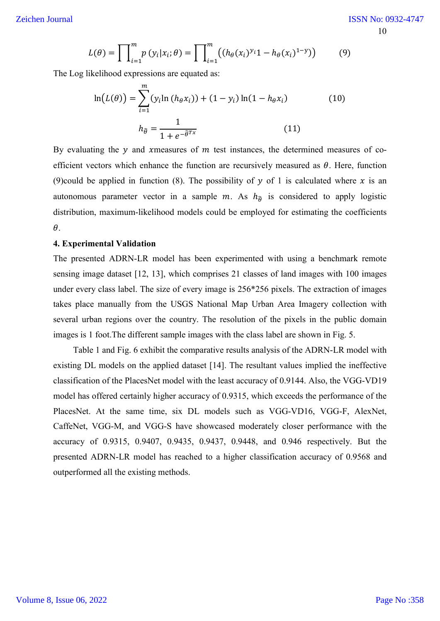$$
L(\theta) = \prod_{i=1}^{m} p(y_i | x_i; \theta) = \prod_{i=1}^{m} ((h_{\theta}(x_i)^{y_i} 1 - h_{\theta}(x_i)^{1-y})) \tag{9}
$$

The Log likelihood expressions are equated as:

$$
\ln(L(\theta)) = \sum_{i=1}^{m} (y_i \ln(h_{\theta} x_i)) + (1 - y_i) \ln(1 - h_{\theta} x_i)
$$
(10)  

$$
h_{\hat{\theta}} = \frac{1}{1 + e^{-\hat{\theta}^{Tx}}} \qquad (11)
$$

By evaluating the  $y$  and xmeasures of  $m$  test instances, the determined measures of coefficient vectors which enhance the function are recursively measured as  $\theta$ . Here, function (9)could be applied in function (8). The possibility of  $y$  of 1 is calculated where  $x$  is an autonomous parameter vector in a sample  $m$ . As  $h_{\hat{\theta}}$  is considered to apply logistic distribution, maximum-likelihood models could be employed for estimating the coefficients  $\theta$ .

#### **4. Experimental Validation**

The presented ADRN-LR model has been experimented with using a benchmark remote sensing image dataset [12, 13], which comprises 21 classes of land images with 100 images under every class label. The size of every image is 256\*256 pixels. The extraction of images takes place manually from the USGS National Map Urban Area Imagery collection with several urban regions over the country. The resolution of the pixels in the public domain images is 1 foot.The different sample images with the class label are shown in Fig. 5.

Table 1 and Fig. 6 exhibit the comparative results analysis of the ADRN-LR model with existing DL models on the applied dataset [14]. The resultant values implied the ineffective classification of the PlacesNet model with the least accuracy of 0.9144. Also, the VGG-VD19 model has offered certainly higher accuracy of 0.9315, which exceeds the performance of the PlacesNet. At the same time, six DL models such as VGG-VD16, VGG-F, AlexNet, CaffeNet, VGG-M, and VGG-S have showcased moderately closer performance with the accuracy of 0.9315, 0.9407, 0.9435, 0.9437, 0.9448, and 0.946 respectively. But the presented ADRN-LR model has reached to a higher classification accuracy of 0.9568 and outperformed all the existing methods.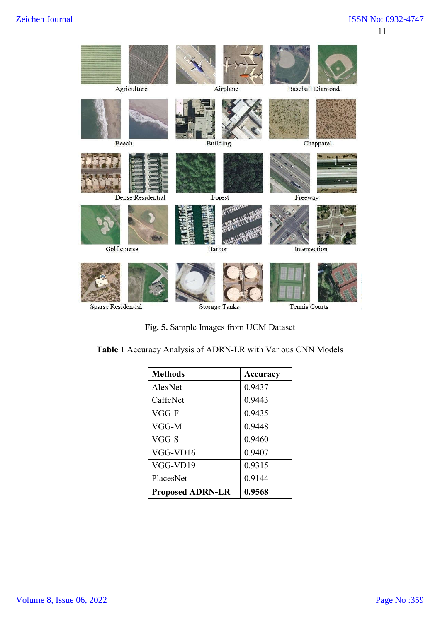

**Fig. 5.** Sample Images from UCM Dataset

**Table 1** Accuracy Analysis of ADRN-LR with Various CNN Models

| <b>Methods</b>          | Accuracy |
|-------------------------|----------|
| AlexNet                 | 0.9437   |
| CaffeNet                | 0.9443   |
| $VGG-F$                 | 0.9435   |
| VGG-M                   | 0.9448   |
| VGG-S                   | 0.9460   |
| VGG-VD16                | 0.9407   |
| VGG-VD19                | 0.9315   |
| PlacesNet               | 0.9144   |
| <b>Proposed ADRN-LR</b> | 0.9568   |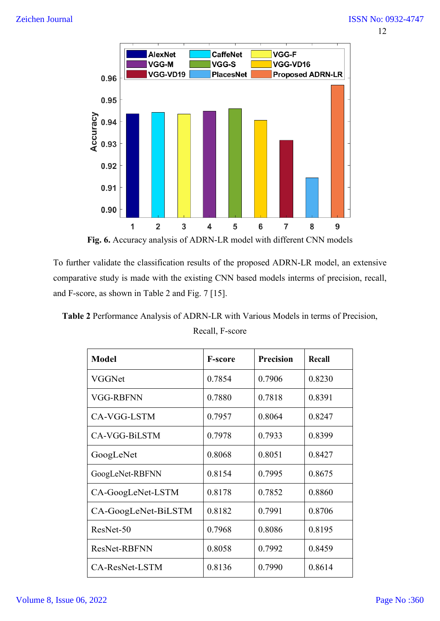

**Fig. 6.** Accuracy analysis of ADRN-LR model with different CNN models

To further validate the classification results of the proposed ADRN-LR model, an extensive comparative study is made with the existing CNN based models interms of precision, recall, and F-score, as shown in Table 2 and Fig. 7 [15].

**Table 2** Performance Analysis of ADRN-LR with Various Models in terms of Precision, Recall, F-score

| <b>Model</b>        | <b>F-score</b> | <b>Precision</b> | Recall |
|---------------------|----------------|------------------|--------|
| VGGNet              | 0.7854         | 0.7906           | 0.8230 |
| VGG-RBFNN           | 0.7880         | 0.7818           | 0.8391 |
| CA-VGG-LSTM         | 0.7957         | 0.8064           | 0.8247 |
| CA-VGG-BiLSTM       | 0.7978         | 0.7933           | 0.8399 |
| GoogLeNet           | 0.8068         | 0.8051           | 0.8427 |
| GoogLeNet-RBFNN     | 0.8154         | 0.7995           | 0.8675 |
| CA-GoogLeNet-LSTM   | 0.8178         | 0.7852           | 0.8860 |
| CA-GoogLeNet-BiLSTM | 0.8182         | 0.7991           | 0.8706 |
| ResNet-50           | 0.7968         | 0.8086           | 0.8195 |
| <b>ResNet-RBFNN</b> | 0.8058         | 0.7992           | 0.8459 |
| CA-ResNet-LSTM      | 0.8136         | 0.7990           | 0.8614 |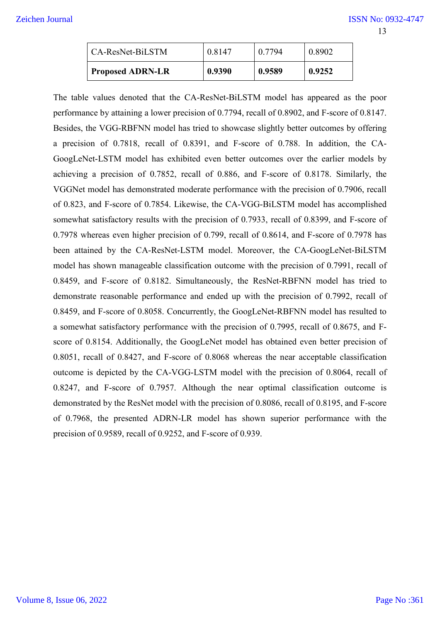# Zeichen Journal

| <b>Proposed ADRN-LR</b> | 0.9390 | 0.9589 | 0.9252 |
|-------------------------|--------|--------|--------|
| LCA-ResNet-BiLSTM       | 0.8147 | 0.7794 | 0.8902 |

The table values denoted that the CA-ResNet-BiLSTM model has appeared as the poor performance by attaining a lower precision of 0.7794, recall of 0.8902, and F-score of 0.8147. Besides, the VGG-RBFNN model has tried to showcase slightly better outcomes by offering a precision of 0.7818, recall of 0.8391, and F-score of 0.788. In addition, the CA-GoogLeNet-LSTM model has exhibited even better outcomes over the earlier models by achieving a precision of 0.7852, recall of 0.886, and F-score of 0.8178. Similarly, the VGGNet model has demonstrated moderate performance with the precision of 0.7906, recall of 0.823, and F-score of 0.7854. Likewise, the CA-VGG-BiLSTM model has accomplished somewhat satisfactory results with the precision of 0.7933, recall of 0.8399, and F-score of 0.7978 whereas even higher precision of 0.799, recall of 0.8614, and F-score of 0.7978 has been attained by the CA-ResNet-LSTM model. Moreover, the CA-GoogLeNet-BiLSTM model has shown manageable classification outcome with the precision of 0.7991, recall of 0.8459, and F-score of 0.8182. Simultaneously, the ResNet-RBFNN model has tried to demonstrate reasonable performance and ended up with the precision of 0.7992, recall of 0.8459, and F-score of 0.8058. Concurrently, the GoogLeNet-RBFNN model has resulted to a somewhat satisfactory performance with the precision of 0.7995, recall of 0.8675, and Fscore of 0.8154. Additionally, the GoogLeNet model has obtained even better precision of 0.8051, recall of 0.8427, and F-score of 0.8068 whereas the near acceptable classification outcome is depicted by the CA-VGG-LSTM model with the precision of 0.8064, recall of 0.8247, and F-score of 0.7957. Although the near optimal classification outcome is demonstrated by the ResNet model with the precision of 0.8086, recall of 0.8195, and F-score of 0.7968, the presented ADRN-LR model has shown superior performance with the precision of 0.9589, recall of 0.9252, and F-score of 0.939.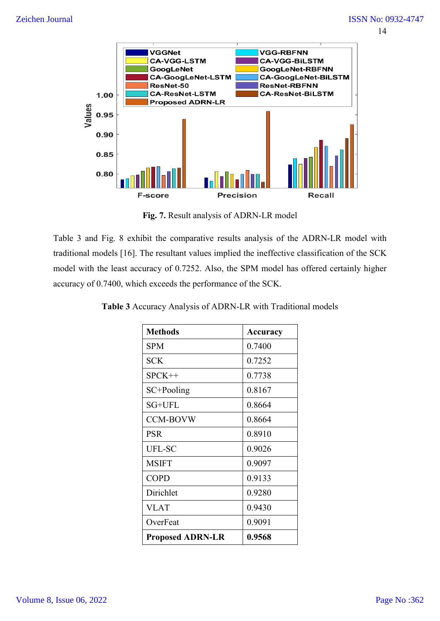

**Fig. 7.** Result analysis of ADRN-LR model

Table 3 and Fig. 8 exhibit the comparative results analysis of the ADRN-LR model with traditional models [16]. The resultant values implied the ineffective classification of the SCK model with the least accuracy of 0.7252. Also, the SPM model has offered certainly higher accuracy of 0.7400, which exceeds the performance of the SCK.

| <b>Methods</b>          | Accuracy |
|-------------------------|----------|
| <b>SPM</b>              | 0.7400   |
| <b>SCK</b>              | 0.7252   |
| $SPCK++$                | 0.7738   |
| $SC+Pooling$            | 0.8167   |
| SG+UFL                  | 0.8664   |
| <b>CCM-BOVW</b>         | 0.8664   |
| <b>PSR</b>              | 0.8910   |
| UFL-SC                  | 0.9026   |
| <b>MSIFT</b>            | 0.9097   |
| <b>COPD</b>             | 0.9133   |
| Dirichlet               | 0.9280   |
| <b>VLAT</b>             | 0.9430   |
| OverFeat                | 0.9091   |
| <b>Proposed ADRN-LR</b> | 0.9568   |

**Table 3** Accuracy Analysis of ADRN-LR with Traditional models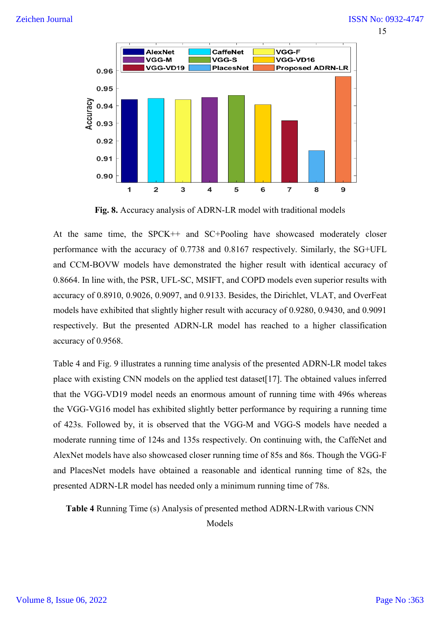

**Fig. 8.** Accuracy analysis of ADRN-LR model with traditional models

At the same time, the SPCK++ and SC+Pooling have showcased moderately closer performance with the accuracy of 0.7738 and 0.8167 respectively. Similarly, the SG+UFL and CCM-BOVW models have demonstrated the higher result with identical accuracy of 0.8664. In line with, the PSR, UFL-SC, MSIFT, and COPD models even superior results with accuracy of 0.8910, 0.9026, 0.9097, and 0.9133. Besides, the Dirichlet, VLAT, and OverFeat models have exhibited that slightly higher result with accuracy of 0.9280, 0.9430, and 0.9091 respectively. But the presented ADRN-LR model has reached to a higher classification accuracy of 0.9568.

Table 4 and Fig. 9 illustrates a running time analysis of the presented ADRN-LR model takes place with existing CNN models on the applied test dataset[17]. The obtained values inferred that the VGG-VD19 model needs an enormous amount of running time with 496s whereas the VGG-VG16 model has exhibited slightly better performance by requiring a running time of 423s. Followed by, it is observed that the VGG-M and VGG-S models have needed a moderate running time of 124s and 135s respectively. On continuing with, the CaffeNet and AlexNet models have also showcased closer running time of 85s and 86s. Though the VGG-F and PlacesNet models have obtained a reasonable and identical running time of 82s, the presented ADRN-LR model has needed only a minimum running time of 78s.

**Table 4** Running Time (s) Analysis of presented method ADRN-LRwith various CNN

Models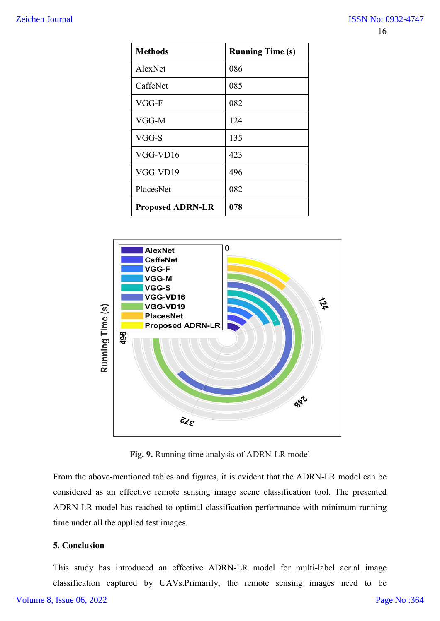#### Zeichen Journal

| <b>Methods</b>          | <b>Running Time (s)</b> |
|-------------------------|-------------------------|
| AlexNet                 | 086                     |
| CaffeNet                | 085                     |
| $VGG-F$                 | 082                     |
| VGG-M                   | 124                     |
| VGG-S                   | 135                     |
| VGG-VD16                | 423                     |
| VGG-VD19                | 496                     |
| PlacesNet               | 082                     |
| <b>Proposed ADRN-LR</b> | 078                     |



**Fig. 9.** Running time analysis of ADRN-LR model

From the above-mentioned tables and figures, it is evident that the ADRN-LR model can be considered as an effective remote sensing image scene classification tool. The presented ADRN-LR model has reached to optimal classification performance with minimum running time under all the applied test images.

# **5. Conclusion**

This study has introduced an effective ADRN-LR model for multi-label aerial image classification captured by UAVs.Primarily, the remote sensing images need to be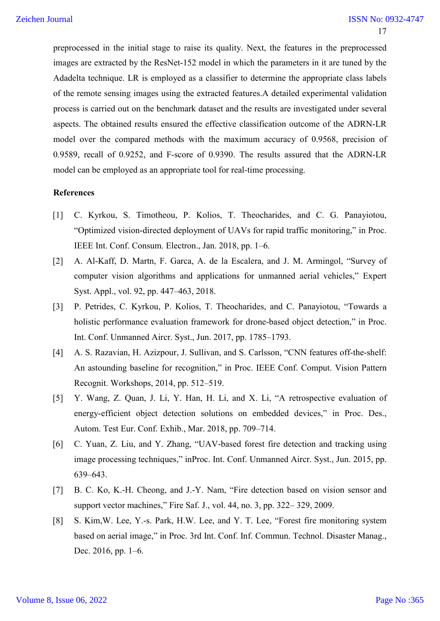preprocessed in the initial stage to raise its quality. Next, the features in the preprocessed images are extracted by the ResNet-152 model in which the parameters in it are tuned by the Adadelta technique. LR is employed as a classifier to determine the appropriate class labels of the remote sensing images using the extracted features.A detailed experimental validation process is carried out on the benchmark dataset and the results are investigated under several aspects. The obtained results ensured the effective classification outcome of the ADRN-LR model over the compared methods with the maximum accuracy of 0.9568, precision of 0.9589, recall of 0.9252, and F-score of 0.9390. The results assured that the ADRN-LR model can be employed as an appropriate tool for real-time processing.

#### **References**

- [1] C. Kyrkou, S. Timotheou, P. Kolios, T. Theocharides, and C. G. Panayiotou, "Optimized vision-directed deployment of UAVs for rapid traffic monitoring," in Proc. IEEE Int. Conf. Consum. Electron., Jan. 2018, pp. 1–6.
- [2] A. Al-Kaff, D. Martn, F. Garca, A. de la Escalera, and J. M. Armingol, "Survey of computer vision algorithms and applications for unmanned aerial vehicles," Expert Syst. Appl., vol. 92, pp. 447–463, 2018.
- [3] P. Petrides, C. Kyrkou, P. Kolios, T. Theocharides, and C. Panayiotou, "Towards a holistic performance evaluation framework for drone-based object detection," in Proc. Int. Conf. Unmanned Aircr. Syst., Jun. 2017, pp. 1785–1793.
- [4] A. S. Razavian, H. Azizpour, J. Sullivan, and S. Carlsson, "CNN features off-the-shelf: An astounding baseline for recognition," in Proc. IEEE Conf. Comput. Vision Pattern Recognit. Workshops, 2014, pp. 512–519.
- [5] Y. Wang, Z. Quan, J. Li, Y. Han, H. Li, and X. Li, "A retrospective evaluation of energy-efficient object detection solutions on embedded devices," in Proc. Des., Autom. Test Eur. Conf. Exhib., Mar. 2018, pp. 709–714.
- [6] C. Yuan, Z. Liu, and Y. Zhang, "UAV-based forest fire detection and tracking using image processing techniques," inProc. Int. Conf. Unmanned Aircr. Syst., Jun. 2015, pp. 639–643.
- [7] B. C. Ko, K.-H. Cheong, and J.-Y. Nam, "Fire detection based on vision sensor and support vector machines," Fire Saf. J., vol. 44, no. 3, pp. 322– 329, 2009.
- [8] S. Kim,W. Lee, Y.-s. Park, H.W. Lee, and Y. T. Lee, "Forest fire monitoring system based on aerial image," in Proc. 3rd Int. Conf. Inf. Commun. Technol. Disaster Manag., Dec. 2016, pp. 1–6.